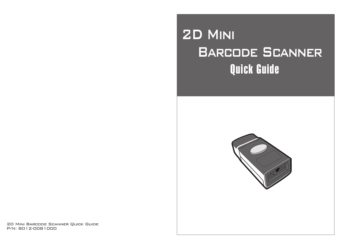# 2D Mini **BARCODE SCANNER** Quick Guide



2D Mini Barcode Scanner Quick Guide P/N: 8012-0081000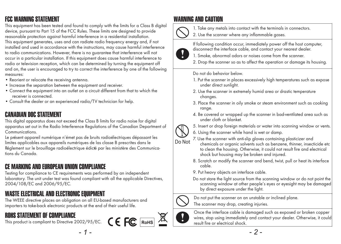### FCC WARNING STATEMENT

This equipment has been tested and found to comply with the limits for a Class B digital device, pursuant to Part 15 of the FCC Rules. These limits are designed to provide reasonable protection against harmful interference in a residential installation. This equipment generates, uses and can radiate radio frequency energy and, if not installed and used in accordance with the instructions, may cause harmful interference to radio communications. However, there is no guarantee that interference will not occur in a particular installation. If this equipment does cause harmful interference to radio or television reception, which can be determined by turning the equipment off and on, the user is encouraged to try to correct the interference by one of the following measures:

- Reorient or relocate the receiving antenna.
- Increase the separation between the equipment and receiver.
- Connect the equipment into an outlet on a circuit different from that to which the receiver is connected.
- Consult the dealer or an experienced radio/TV technician for help.

#### CANADIAN DOC STATEMENT

This digital apparatus does not exceed the Class B limits for radio noise for digital apparatus set out in the Radio Interference Regulations of the Canadian Department of Communications.

Le présent appareil numérique n'émet pas de bruits radioélectriques dépassant les limites applicables aux appareils numériques de las classe B prescrites dans le Réglement sur le brouillage radioélectrique édicté par les ministère des Communications du Canada.

### CE MARKING AND EUROPEAN UNION COMPLIANCE

Testing for compliance to CE requirements was performed by an independent laboratory. The unit under test was found compliant with all the applicable Directives, 2004/108/EC and 2006/95/EC.

#### WASTE ELECTRICAL AND ELECTRONIC EQUIPMENT

The WEEE directive places an obligation on all EU-based manufacturers and importers to take-back electronic products at the end of their useful life.

### ROHS STATEMENT OF COMPLIANCE

This product is compliant to Directive 2002/95/EC.  $\mathsf{C} \in \mathsf{FC}$  RoHS

#### WARNING AND CAUTION



1. Take any metals into contact with the terminals in connectors.

2. Use the scanner where any inflammable gases.



If following condition occur, immediately power off the host computer, disconnect the interface cable, and contact your nearest dealer.

- 1. Smoke, abnormal odors or noises come from the scanner.
- 2. Drop the scanner so as to affect the operation or damage its housing.

Do not do behavior below.

- 1. Put the scanner in places excessively high temperatures such as expose under direct sunlight.
- 2. Use the scanner in extremely humid area or drastic temperature changes.
- 3. Place the scanner in oily smoke or steam environment such as cooking range.
- 4. Be covered or wrapped up the scanner in bad-ventilated area such as under cloth or blanket.



- 5. Insert or drop foreign materials or water into scanning window or vents.
- 6. Using the scanner while hand is wet or damp.
- 7. Use the scanner with anti-slip gloves containing plasticizer and chemicals or organic solvents such as benzene, thinner, insecticide etc to clean the housing. Otherwise, it could not result fire and electrical shock but housing may be broken and injured.
- 8. Scratch or modify the scanner and bend, twist, pull or heat its interface cable.
- 9. Put heavy objects on interface cable.
- Do not stare the light source from the scanning window or do not point the scanning window at other people's eyes or eyesight may be damaged by direct exposure under the light.

Do not put the scanner on an unstable or inclined plane.



The scanner may drop, creating injuries.



Once the interface cable is damaged such as exposed or broken copper wires, stop using immediately and contact your dealer. Otherwise, it could result fire or electrical shock.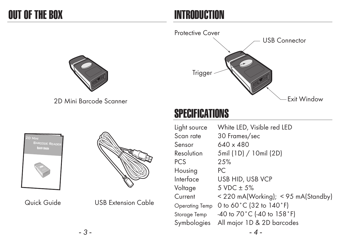### INTRODUCTION





2D Mini Barcode Scanner



Quick Guide USB Extension Cable

# **SPECIFICATIONS**

| Light source   | White LED, Visible red LED                        |
|----------------|---------------------------------------------------|
| Scan rate      | 30 Frames/sec                                     |
| Sensor         | 640 x 480                                         |
| Resolution     | 5mil (1D) / 10mil (2D)                            |
| <b>PCS</b>     | 2.5%                                              |
| Housing        | PC.                                               |
| Interface      | USB HID, USB VCP                                  |
| Voltage        | $5 \text{ VDC} + 5\%$                             |
| Current        | < 220 mA(Working); < 95 mA(Standby)               |
| Operating Temp | 0 to 60°C (32 to 140°F)                           |
| Storage Temp   | $-40$ to $70^{\circ}$ C (-40 to 158 $^{\circ}$ F) |
| Symbologies    | All major 1D & 2D barcodes                        |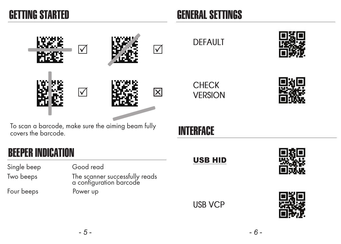### GETTING STARTED

# GENERAL SETTINGS

|                                                                           | $\blacktriangledown$ |                                                           | $\sqrt{}$ | <b>DEFAULT</b>                 |  |
|---------------------------------------------------------------------------|----------------------|-----------------------------------------------------------|-----------|--------------------------------|--|
|                                                                           |                      |                                                           | 図         | <b>CHECK</b><br><b>VERSION</b> |  |
| To scan a barcode, make sure the aiming beam fully<br>covers the barcode. |                      |                                                           |           | <b>INTERFACE</b>               |  |
| <b>BEEPER INDICATION</b>                                                  |                      |                                                           |           |                                |  |
| Single beep                                                               | Good read            |                                                           |           | <b>USB HID</b>                 |  |
| Two beeps                                                                 |                      | The scanner successfully reads<br>a configuration barcode |           |                                |  |
| Four beeps                                                                | Power up             |                                                           |           | <b>USB VCP</b>                 |  |
|                                                                           |                      |                                                           |           |                                |  |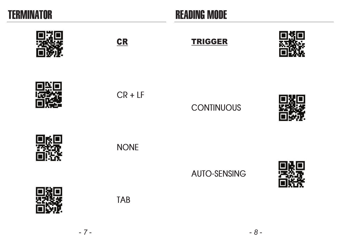

### READING MODE

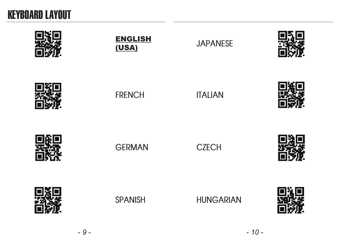## KEYBOARD LAYOUT

| <b>ENGLISH</b><br>(USA) | <b>JAPANESE</b>  |  |
|-------------------------|------------------|--|
| <b>FRENCH</b>           | <b>ITALIAN</b>   |  |
| <b>GERMAN</b>           | <b>CZECH</b>     |  |
| <b>SPANISH</b>          | <b>HUNGARIAN</b> |  |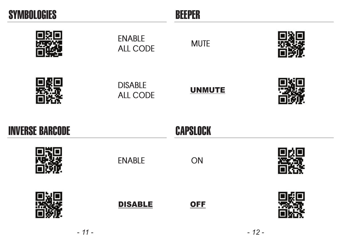| <b>SYMBOLOGIES</b>     |                            | <b>BEEPER</b>   |  |
|------------------------|----------------------------|-----------------|--|
|                        | <b>ENABLE</b><br>ALL CODE  | <b>MUTE</b>     |  |
|                        | <b>DISABLE</b><br>ALL CODE | <b>UNMUTE</b>   |  |
|                        |                            |                 |  |
| <b>INVERSE BARCODE</b> |                            | <b>CAPSLOCK</b> |  |
|                        | <b>ENABLE</b>              | <b>ON</b>       |  |